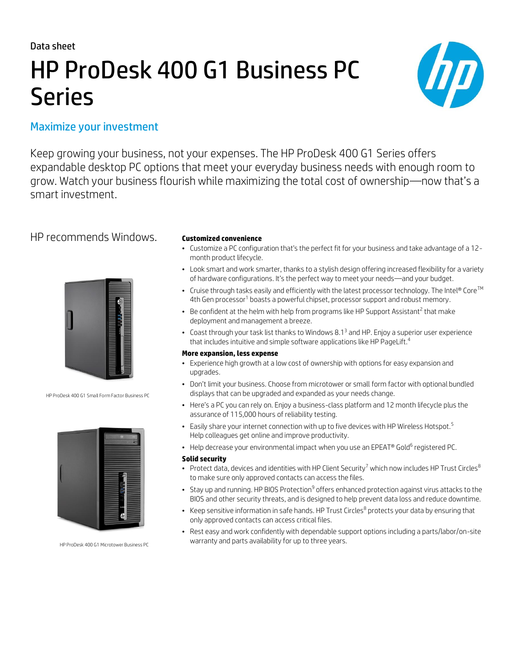Data sheet

# HP ProDesk 400 G1 Business PC Series



# Maximize your investment

Keep growing your business, not your expenses. The HP ProDesk 400 G1 Series offers expandable desktop PC options that meet your everyday business needs with enough room to grow. Watch your business flourish while maximizing the total cost of ownership—now that's a smart investment.

## HP recommends Windows. **Customized convenience**



HP ProDesk 400 G1 Small Form Factor Business PC



HP ProDesk 400 G1 Microtower Business PC

- Customize a PC configuration that's the perfect fit for your business and take advantage of a 12 month product lifecycle.
- Look smart and work smarter, thanks to a stylish design offering increased flexibility for a variety of hardware configurations. It's the perfect way to meet your needs—and your budget.
- Cruise through tasks easily and efficiently with the latest processor technology. The Intel® Core<sup>TM</sup> 4th Gen processor<sup>1</sup> boasts a powerful chipset, processor support and robust memory.
- $\bullet$  Be confident at the helm with help from programs like HP Support Assistant<sup>2</sup> that make deployment and management a breeze.
- Coast through your task list thanks to Windows 8.1<sup>3</sup> and HP. Enjoy a superior user experience that includes intuitive and simple software applications like HP PageLift.<sup>4</sup>

### **More expansion, less expense**

- Experience high growth at a low cost of ownership with options for easy expansion and upgrades.
- Don't limit your business. Choose from microtower or small form factor with optional bundled displays that can be upgraded and expanded as your needs change.
- Here's a PC you can rely on. Enjoy a business-class platform and 12 month lifecycle plus the assurance of 115,000 hours of reliability testing.
- Easily share your internet connection with up to five devices with HP Wireless Hotspot.<sup>5</sup> Help colleagues get online and improve productivity.
- $\bullet$  Help decrease your environmental impact when you use an EPEAT® Gold $^6$  registered PC.

#### **Solid security**

- Protect data, devices and identities with HP Client Security<sup>7</sup> which now includes HP Trust Circles<sup>8</sup> to make sure only approved contacts can access the files.
- $\bullet~$  Stay up and running. HP BIOS Protection $^9$  offers enhanced protection against virus attacks to the BIOS and other security threats, and is designed to help prevent data loss and reduce downtime.
- Keep sensitive information in safe hands. HP Trust Circles $^8$  protects your data by ensuring that only approved contacts can access critical files.
- Rest easy and work confidently with dependable support options including a parts/labor/on-site warranty and parts availability for up to three years.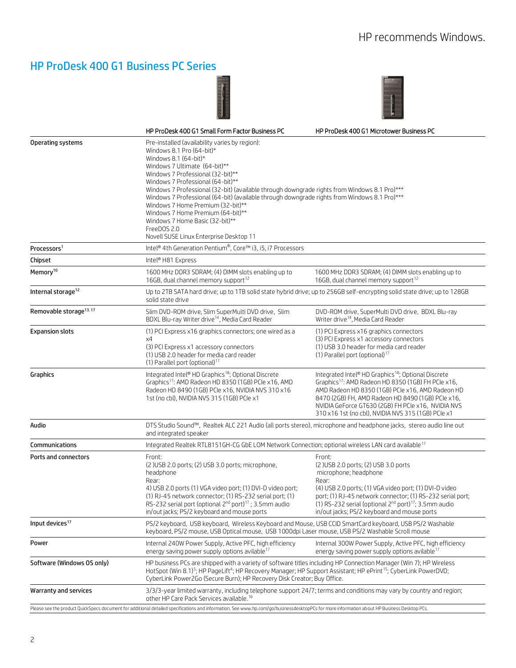# HP ProDesk 400 G1 Business PC Series





|                                    | HP ProDesk 400 G1 Small Form Factor Business PC                                                                                                                                                                                                                                                                                                                                                                                                                                                                                                                                           | HP ProDesk 400 G1 Microtower Business PC                                                                                                                                                                                                                                                                                                               |
|------------------------------------|-------------------------------------------------------------------------------------------------------------------------------------------------------------------------------------------------------------------------------------------------------------------------------------------------------------------------------------------------------------------------------------------------------------------------------------------------------------------------------------------------------------------------------------------------------------------------------------------|--------------------------------------------------------------------------------------------------------------------------------------------------------------------------------------------------------------------------------------------------------------------------------------------------------------------------------------------------------|
| <b>Operating systems</b>           | Pre-installed (availability varies by region):<br>Windows 8.1 Pro (64-bit)*<br>Windows 8.1 $(64$ -bit)*<br>Windows 7 Ultimate (64-bit)**<br>Windows 7 Professional (32-bit)**<br>Windows 7 Professional (64-bit)**<br>Windows 7 Professional (32-bit) (available through downgrade rights from Windows 8.1 Pro)***<br>Windows 7 Professional (64-bit) (available through downgrade rights from Windows 8.1 Pro)***<br>Windows 7 Home Premium (32-bit)**<br>Windows 7 Home Premium (64-bit)**<br>Windows 7 Home Basic (32-bit)**<br>FreeDOS 2.0<br>Novell SUSE Linux Enterprise Desktop 11 |                                                                                                                                                                                                                                                                                                                                                        |
| Processors <sup>1</sup>            | Intel <sup>®</sup> 4th Generation Pentium®, Core™ i3, i5, i7 Processors                                                                                                                                                                                                                                                                                                                                                                                                                                                                                                                   |                                                                                                                                                                                                                                                                                                                                                        |
| Chipset                            | Intel® H81 Express                                                                                                                                                                                                                                                                                                                                                                                                                                                                                                                                                                        |                                                                                                                                                                                                                                                                                                                                                        |
| Memory <sup>10</sup>               | 1600 MHz DDR3 SDRAM; (4) DIMM slots enabling up to<br>16GB, dual channel memory support <sup>12</sup>                                                                                                                                                                                                                                                                                                                                                                                                                                                                                     | 1600 MHz DDR3 SDRAM; (4) DIMM slots enabling up to<br>16GB, dual channel memory support <sup>12</sup>                                                                                                                                                                                                                                                  |
| Internal storage <sup>12</sup>     | Up to 2TB SATA hard drive; up to 1TB solid state hybrid drive; up to 256GB self-encrypting solid state drive; up to 128GB<br>solid state drive                                                                                                                                                                                                                                                                                                                                                                                                                                            |                                                                                                                                                                                                                                                                                                                                                        |
| Removable storage <sup>13.17</sup> | Slim DVD-ROM drive, Slim SuperMulti DVD drive, Slim<br>BDXL Blu-ray Writer drive <sup>14</sup> , Media Card Reader                                                                                                                                                                                                                                                                                                                                                                                                                                                                        | DVD-ROM drive, SuperMulti DVD drive, BDXL Blu-ray<br>Writer drive <sup>14</sup> , Media Card Reader                                                                                                                                                                                                                                                    |
| <b>Expansion slots</b>             | (1) PCI Express x16 graphics connectors; one wired as a<br>x4<br>(3) PCI Express x1 accessory connectors<br>(1) USB 2.0 header for media card reader<br>(1) Parallel port (optional) <sup>17</sup>                                                                                                                                                                                                                                                                                                                                                                                        | (1) PCI Express x16 graphics connectors<br>(3) PCI Express x1 accessory connectors<br>(1) USB 3.0 header for media card reader<br>(1) Parallel port (optional) $17$                                                                                                                                                                                    |
| Graphics                           | Integrated Intel® HD Graphics <sup>18</sup> ; Optional Discrete<br>Graphics <sup>17</sup> : AMD Radeon HD 8350 (1GB) PCIe x16, AMD<br>Radeon HD 8490 (1GB) PCIe x16, NVIDIA NVS 310 x16<br>1st (no cbl), NVIDIA NVS 315 (1GB) PCIe x1                                                                                                                                                                                                                                                                                                                                                     | Integrated Intel® HD Graphics <sup>18</sup> ; Optional Discrete<br>Graphics <sup>17</sup> : AMD Radeon HD 8350 (1GB) FH PCle x16,<br>AMD Radeon HD 8350 (1GB) PCIe x16, AMD Radeon HD<br>8470 (2GB) FH, AMD Radeon HD 8490 (1GB) PCIe x16,<br>NVIDIA GeForce GT630 (2GB) FH PCIe x16, NVIDIA NVS<br>310 x16 1st (no cbl), NVIDIA NVS 315 (1GB) PCIe x1 |
| Audio                              | DTS Studio Sound™, Realtek ALC 221 Audio (all ports stereo), microphone and headphone jacks, stereo audio line out<br>and integrated speaker                                                                                                                                                                                                                                                                                                                                                                                                                                              |                                                                                                                                                                                                                                                                                                                                                        |
| Communications                     | Integrated Realtek RTL8151GH-CG GbE LOM Network Connection; optional wireless LAN card available <sup>17</sup>                                                                                                                                                                                                                                                                                                                                                                                                                                                                            |                                                                                                                                                                                                                                                                                                                                                        |
| Ports and connectors               | Front:<br>(2) USB 2.0 ports; (2) USB 3.0 ports; microphone,<br>headphone<br>Rear:<br>4) USB 2.0 ports (1) VGA video port; (1) DVI-D video port;<br>(1) RJ-45 network connector; (1) RS-232 serial port; (1)<br>RS-232 serial port (optional 2 <sup>nd</sup> port) <sup>17</sup> ; 3.5mm audio<br>in/out jacks; PS/2 keyboard and mouse ports                                                                                                                                                                                                                                              | Front:<br>(2) USB 2.0 ports; (2) USB 3.0 ports<br>microphone; headphone<br>Rear:<br>(4) USB 2.0 ports; (1) VGA video port; (1) DVI-D video<br>port; (1) RJ-45 network connector; (1) RS-232 serial port;<br>(1) RS-232 serial (optional 2 <sup>nd</sup> port) <sup>17</sup> ; 3.5mm audio<br>in/out jacks; PS/2 keyboard and mouse ports               |
| Input devices <sup>17</sup>        | PS/2 keyboard, USB keyboard, Wireless Keyboard and Mouse, USB CCID SmartCard keyboard, USB PS/2 Washable<br>keyboard, PS/2 mouse, USB Optical mouse, USB 1000dpi Laser mouse, USB PS/2 Washable Scroll mouse                                                                                                                                                                                                                                                                                                                                                                              |                                                                                                                                                                                                                                                                                                                                                        |
| Power                              | Internal 240W Power Supply, Active PFC, high efficiency<br>energy saving power supply options avilable <sup>17</sup>                                                                                                                                                                                                                                                                                                                                                                                                                                                                      | Internal 300W Power Supply, Active PFC, high efficiency<br>energy saving power supply options avilable <sup>17</sup>                                                                                                                                                                                                                                   |
| Software (Windows OS only)         | HP business PCs are shipped with a variety of software titles including HP Connection Manager (Win 7); HP Wireless<br>HotSpot (Win 8.1) <sup>5</sup> ; HP PageLift <sup>4</sup> ; HP Recovery Manager; HP Support Assistant; HP ePrint <sup>15</sup> ; CyberLink PowerDVD;<br>CyberLink Power2Go (Secure Burn); HP Recovery Disk Creator; Buy Office.                                                                                                                                                                                                                                     |                                                                                                                                                                                                                                                                                                                                                        |
| Warranty and services              | 3/3/3-year limited warranty, including telephone support 24/7; terms and conditions may vary by country and region;<br>other HP Care Pack Services available. <sup>16</sup>                                                                                                                                                                                                                                                                                                                                                                                                               |                                                                                                                                                                                                                                                                                                                                                        |
|                                    | Please see the product QuickSpecs document for additional detailed specifications and information. See www.hp.com/go/businessdesktopPCs for more information about HP Business Desktop PCs.                                                                                                                                                                                                                                                                                                                                                                                               |                                                                                                                                                                                                                                                                                                                                                        |